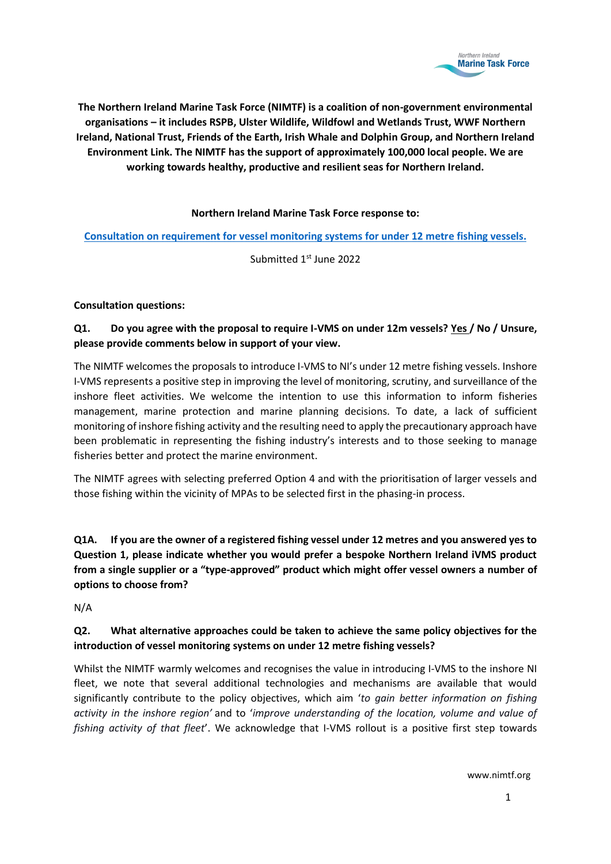

**The Northern Ireland Marine Task Force (NIMTF) is a coalition of non-government environmental organisations – it includes RSPB, Ulster Wildlife, Wildfowl and Wetlands Trust, WWF Northern Ireland, National Trust, Friends of the Earth, Irish Whale and Dolphin Group, and Northern Ireland Environment Link. The NIMTF has the support of approximately 100,000 local people. We are working towards healthy, productive and resilient seas for Northern Ireland.**

## **Northern Ireland Marine Task Force response to:**

**[Consultation on requirement for vessel monitoring systems for under 12 metre](https://consultations2.nidirect.gov.uk/daera/vessel-monitoring-systems-for-under-12-metre-fishi/) fishing vessels.**

Submitted 1<sup>st</sup> June 2022

## **Consultation questions:**

## **Q1. Do you agree with the proposal to require I-VMS on under 12m vessels? Yes / No / Unsure, please provide comments below in support of your view.**

The NIMTF welcomes the proposals to introduce I-VMS to NI's under 12 metre fishing vessels. Inshore I-VMS represents a positive step in improving the level of monitoring, scrutiny, and surveillance of the inshore fleet activities. We welcome the intention to use this information to inform fisheries management, marine protection and marine planning decisions. To date, a lack of sufficient monitoring of inshore fishing activity and the resulting need to apply the precautionary approach have been problematic in representing the fishing industry's interests and to those seeking to manage fisheries better and protect the marine environment.

The NIMTF agrees with selecting preferred Option 4 and with the prioritisation of larger vessels and those fishing within the vicinity of MPAs to be selected first in the phasing-in process.

**Q1A. If you are the owner of a registered fishing vessel under 12 metres and you answered yes to Question 1, please indicate whether you would prefer a bespoke Northern Ireland iVMS product from a single supplier or a "type-approved" product which might offer vessel owners a number of options to choose from?**

N/A

## **Q2. What alternative approaches could be taken to achieve the same policy objectives for the introduction of vessel monitoring systems on under 12 metre fishing vessels?**

Whilst the NIMTF warmly welcomes and recognises the value in introducing I-VMS to the inshore NI fleet, we note that several additional technologies and mechanisms are available that would significantly contribute to the policy objectives, which aim '*to gain better information on fishing activity in the inshore region'* and to '*improve understanding of the location, volume and value of fishing activity of that fleet*'. We acknowledge that I-VMS rollout is a positive first step towards